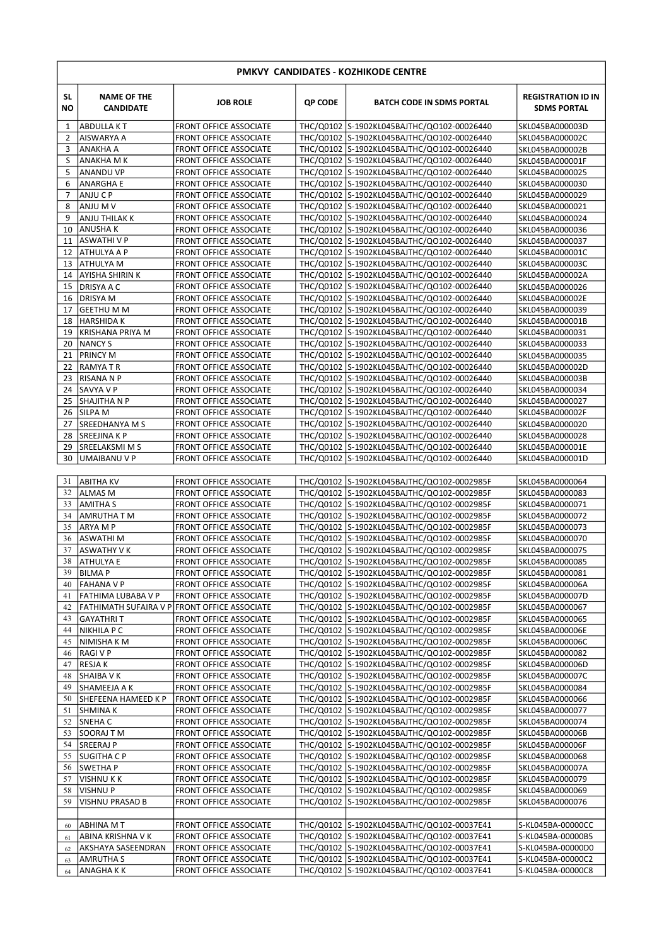| PMKVY CANDIDATES - KOZHIKODE CENTRE |                                        |                                                                |         |                                                                                          |                                                 |  |  |
|-------------------------------------|----------------------------------------|----------------------------------------------------------------|---------|------------------------------------------------------------------------------------------|-------------------------------------------------|--|--|
| SL.<br>NO                           | <b>NAME OF THE</b><br><b>CANDIDATE</b> | <b>JOB ROLE</b>                                                | QP CODE | <b>BATCH CODE IN SDMS PORTAL</b>                                                         | <b>REGISTRATION ID IN</b><br><b>SDMS PORTAL</b> |  |  |
| 1                                   | <b>ABDULLA KT</b>                      | <b>FRONT OFFICE ASSOCIATE</b>                                  |         | THC/Q0102 S-1902KL045BAJTHC/QO102-00026440                                               | SKL045BA000003D                                 |  |  |
| 2                                   | <b>AISWARYA A</b>                      | <b>FRONT OFFICE ASSOCIATE</b>                                  |         | THC/Q0102 S-1902KL045BAJTHC/QO102-00026440                                               | SKL045BA000002C                                 |  |  |
| 3                                   | ANAKHA A                               | <b>FRONT OFFICE ASSOCIATE</b>                                  |         | THC/Q0102 S-1902KL045BAJTHC/QO102-00026440                                               | SKL045BA000002B                                 |  |  |
| S                                   | ANAKHA M K                             | <b>FRONT OFFICE ASSOCIATE</b>                                  |         | THC/Q0102 S-1902KL045BAJTHC/QO102-00026440                                               | SKL045BA000001F                                 |  |  |
| 5<br>6                              | <b>ANANDU VP</b>                       | <b>FRONT OFFICE ASSOCIATE</b><br><b>FRONT OFFICE ASSOCIATE</b> |         | THC/Q0102 S-1902KL045BAJTHC/QO102-00026440<br>THC/Q0102 S-1902KL045BAJTHC/QO102-00026440 | SKL045BA0000025                                 |  |  |
| $\overline{7}$                      | ANARGHA E<br>ANJU C P                  | <b>FRONT OFFICE ASSOCIATE</b>                                  |         | THC/Q0102 S-1902KL045BAJTHC/QO102-00026440                                               | SKL045BA0000030<br>SKL045BA0000029              |  |  |
| 8                                   | ANJU M V                               | <b>FRONT OFFICE ASSOCIATE</b>                                  |         | THC/Q0102 S-1902KL045BAJTHC/Q0102-00026440                                               | SKL045BA0000021                                 |  |  |
| 9                                   | ANJU THILAK K                          | <b>FRONT OFFICE ASSOCIATE</b>                                  |         | THC/Q0102 S-1902KL045BAJTHC/Q0102-00026440                                               | SKL045BA0000024                                 |  |  |
| 10                                  | ANUSHA K                               | <b>FRONT OFFICE ASSOCIATE</b>                                  |         | THC/Q0102 S-1902KL045BAJTHC/QO102-00026440                                               | SKL045BA0000036                                 |  |  |
| 11                                  | <b>ASWATHIVP</b>                       | <b>FRONT OFFICE ASSOCIATE</b>                                  |         | THC/Q0102 S-1902KL045BAJTHC/QO102-00026440                                               | SKL045BA0000037                                 |  |  |
| 12                                  | ATHULYA A P                            | <b>FRONT OFFICE ASSOCIATE</b>                                  |         | THC/Q0102 S-1902KL045BAJTHC/QO102-00026440                                               | SKL045BA000001C                                 |  |  |
| 13                                  | ATHULYA M                              | <b>FRONT OFFICE ASSOCIATE</b>                                  |         | THC/Q0102 S-1902KL045BAJTHC/Q0102-00026440                                               | SKL045BA000003C                                 |  |  |
| 14                                  | <b>AYISHA SHIRIN K</b>                 | <b>FRONT OFFICE ASSOCIATE</b><br><b>FRONT OFFICE ASSOCIATE</b> |         | THC/Q0102 S-1902KL045BAJTHC/QO102-00026440                                               | SKL045BA000002A                                 |  |  |
| 15<br>16                            | DRISYA A C<br><b>DRISYA M</b>          | <b>FRONT OFFICE ASSOCIATE</b>                                  |         | THC/Q0102 S-1902KL045BAJTHC/QO102-00026440<br>THC/Q0102 S-1902KL045BAJTHC/QO102-00026440 | SKL045BA0000026<br>SKL045BA000002E              |  |  |
| 17                                  | <b>GEETHU M M</b>                      | <b>FRONT OFFICE ASSOCIATE</b>                                  |         | THC/Q0102 S-1902KL045BAJTHC/QO102-00026440                                               | SKL045BA0000039                                 |  |  |
| 18                                  | <b>HARSHIDA K</b>                      | <b>FRONT OFFICE ASSOCIATE</b>                                  |         | THC/Q0102 S-1902KL045BAJTHC/Q0102-00026440                                               | SKL045BA000001B                                 |  |  |
| 19                                  | KRISHANA PRIYA M                       | <b>FRONT OFFICE ASSOCIATE</b>                                  |         | THC/Q0102 S-1902KL045BAJTHC/QO102-00026440                                               | SKL045BA0000031                                 |  |  |
| 20                                  | NANCY S                                | <b>FRONT OFFICE ASSOCIATE</b>                                  |         | THC/Q0102 S-1902KL045BAJTHC/QO102-00026440                                               | SKL045BA0000033                                 |  |  |
| 21                                  | <b>PRINCY M</b>                        | <b>FRONT OFFICE ASSOCIATE</b>                                  |         | THC/Q0102 S-1902KL045BAJTHC/QO102-00026440                                               | SKL045BA0000035                                 |  |  |
| 22                                  | RAMYA T R                              | <b>FRONT OFFICE ASSOCIATE</b>                                  |         | THC/Q0102 S-1902KL045BAJTHC/QO102-00026440                                               | SKL045BA000002D                                 |  |  |
| 23                                  | RISANA N P                             | <b>FRONT OFFICE ASSOCIATE</b>                                  |         | THC/Q0102 S-1902KL045BAJTHC/QO102-00026440                                               | SKL045BA000003B                                 |  |  |
| 24                                  | SAVYA V P                              | <b>FRONT OFFICE ASSOCIATE</b><br><b>FRONT OFFICE ASSOCIATE</b> |         | THC/Q0102 S-1902KL045BAJTHC/QO102-00026440<br>THC/Q0102 S-1902KL045BAJTHC/QO102-00026440 | SKL045BA0000034                                 |  |  |
| 25<br>26                            | SHAJITHA N P<br><b>SILPA M</b>         | <b>FRONT OFFICE ASSOCIATE</b>                                  |         | THC/Q0102 S-1902KL045BAJTHC/QO102-00026440                                               | SKL045BA0000027<br>SKL045BA000002F              |  |  |
| 27                                  | <b>SREEDHANYA M S</b>                  | <b>FRONT OFFICE ASSOCIATE</b>                                  |         | THC/Q0102 S-1902KL045BAJTHC/QO102-00026440                                               | SKL045BA0000020                                 |  |  |
| 28                                  | SREEJINA K P                           | <b>FRONT OFFICE ASSOCIATE</b>                                  |         | THC/Q0102 S-1902KL045BAJTHC/Q0102-00026440                                               | SKL045BA0000028                                 |  |  |
| 29                                  | SREELAKSMI M S                         | <b>FRONT OFFICE ASSOCIATE</b>                                  |         | THC/Q0102 S-1902KL045BAJTHC/QO102-00026440                                               | SKL045BA000001E                                 |  |  |
| 30                                  | UMAIBANU V P                           | <b>FRONT OFFICE ASSOCIATE</b>                                  |         | THC/Q0102 S-1902KL045BAJTHC/Q0102-00026440                                               | SKL045BA000001D                                 |  |  |
| 31                                  | ABITHA KV                              | <b>FRONT OFFICE ASSOCIATE</b>                                  |         | THC/Q0102 S-1902KL045BAJTHC/Q0102-0002985F                                               | SKL045BA0000064                                 |  |  |
| 32                                  | ALMAS M                                | <b>FRONT OFFICE ASSOCIATE</b>                                  |         | THC/Q0102 S-1902KL045BAJTHC/QO102-0002985F                                               | SKL045BA0000083                                 |  |  |
| 33                                  | <b>AMITHA S</b>                        | <b>FRONT OFFICE ASSOCIATE</b>                                  |         | THC/Q0102 S-1902KL045BAJTHC/QO102-0002985F                                               | SKL045BA0000071                                 |  |  |
| 34                                  | AMRUTHA T M                            | <b>FRONT OFFICE ASSOCIATE</b>                                  |         | THC/Q0102 S-1902KL045BAJTHC/QO102-0002985F                                               | SKL045BA0000072                                 |  |  |
| 35                                  | ARYA M P                               | <b>FRONT OFFICE ASSOCIATE</b>                                  |         | THC/Q0102 S-1902KL045BAJTHC/QO102-0002985F                                               | SKL045BA0000073                                 |  |  |
| 36                                  | ASWATHI M                              | <b>FRONT OFFICE ASSOCIATE</b>                                  |         | THC/Q0102 S-1902KL045BAJTHC/QO102-0002985F                                               | SKL045BA0000070                                 |  |  |
| 37<br>38                            | ASWATHY V K<br>ATHULYA E               | <b>FRONT OFFICE ASSOCIATE</b><br><b>FRONT OFFICE ASSOCIATE</b> |         | THC/Q0102 S-1902KL045BAJTHC/QO102-0002985F<br>THC/Q0102 S-1902KL045BAJTHC/QO102-0002985F | SKL045BA0000075                                 |  |  |
| 39                                  | <b>BILMAP</b>                          | <b>FRONT OFFICE ASSOCIATE</b>                                  |         | THC/Q0102 S-1902KL045BAJTHC/QO102-0002985F                                               | SKL045BA0000085<br>SKL045BA0000081              |  |  |
| 40                                  | <b>FAHANA V P</b>                      | <b>FRONT OFFICE ASSOCIATE</b>                                  |         | THC/Q0102 S-1902KL045BAJTHC/QO102-0002985F                                               | SKL045BA000006A                                 |  |  |
| 41                                  | FATHIMA LUBABA V P                     | <b>FRONT OFFICE ASSOCIATE</b>                                  |         | THC/Q0102 S-1902KL045BAJTHC/QO102-0002985F                                               | SKL045BA000007D                                 |  |  |
| 42                                  |                                        | <b>FATHIMATH SUFAIRA V P FRONT OFFICE ASSOCIATE</b>            |         | THC/Q0102 S-1902KL045BAJTHC/QO102-0002985F                                               | SKL045BA0000067                                 |  |  |
| 43                                  | <b>GAYATHRIT</b>                       | <b>FRONT OFFICE ASSOCIATE</b>                                  |         | THC/Q0102 S-1902KL045BAJTHC/QO102-0002985F                                               | SKL045BA0000065                                 |  |  |
| 44                                  | <b>NIKHILA P C</b>                     | <b>FRONT OFFICE ASSOCIATE</b>                                  |         | THC/Q0102 S-1902KL045BAJTHC/QO102-0002985F                                               | SKL045BA000006E                                 |  |  |
| 45                                  | NIMISHA K M                            | <b>FRONT OFFICE ASSOCIATE</b>                                  |         | THC/Q0102 S-1902KL045BAJTHC/QO102-0002985F                                               | SKL045BA000006C                                 |  |  |
| 46                                  | <b>RAGIVP</b>                          | <b>FRONT OFFICE ASSOCIATE</b>                                  |         | THC/Q0102 S-1902KL045BAJTHC/QO102-0002985F                                               | SKL045BA0000082                                 |  |  |
| 47<br>48                            | RESJA K<br><b>SHAIBA VK</b>            | <b>FRONT OFFICE ASSOCIATE</b><br><b>FRONT OFFICE ASSOCIATE</b> |         | THC/Q0102 S-1902KL045BAJTHC/QO102-0002985F<br>THC/Q0102 S-1902KL045BAJTHC/QO102-0002985F | SKL045BA000006D<br>SKL045BA000007C              |  |  |
| 49                                  | SHAMEEJA A K                           | <b>FRONT OFFICE ASSOCIATE</b>                                  |         | THC/Q0102 S-1902KL045BAJTHC/QO102-0002985F                                               | SKL045BA0000084                                 |  |  |
| 50                                  | SHEFEENA HAMEED K P                    | <b>FRONT OFFICE ASSOCIATE</b>                                  |         | THC/Q0102 S-1902KL045BAJTHC/QO102-0002985F                                               | SKL045BA0000066                                 |  |  |
| 51                                  | <b>SHMINAK</b>                         | <b>FRONT OFFICE ASSOCIATE</b>                                  |         | THC/Q0102 S-1902KL045BAJTHC/QO102-0002985F                                               | SKL045BA0000077                                 |  |  |
| 52                                  | <b>SNEHAC</b>                          | <b>FRONT OFFICE ASSOCIATE</b>                                  |         | THC/Q0102 S-1902KL045BAJTHC/QO102-0002985F                                               | SKL045BA0000074                                 |  |  |
| 53                                  | SOORAJ TM                              | <b>FRONT OFFICE ASSOCIATE</b>                                  |         | THC/Q0102 S-1902KL045BAJTHC/QO102-0002985F                                               | SKL045BA000006B                                 |  |  |
| 54                                  | <b>SREERAJ P</b>                       | <b>FRONT OFFICE ASSOCIATE</b>                                  |         | THC/Q0102 S-1902KL045BAJTHC/QO102-0002985F                                               | SKL045BA000006F                                 |  |  |
| 55                                  | <b>SUGITHA C P</b>                     | <b>FRONT OFFICE ASSOCIATE</b>                                  |         | THC/Q0102 S-1902KL045BAJTHC/QO102-0002985F                                               | SKL045BA0000068                                 |  |  |
| 56                                  | <b>SWETHAP</b>                         | <b>FRONT OFFICE ASSOCIATE</b>                                  |         | THC/Q0102 S-1902KL045BAJTHC/Q0102-0002985F                                               | SKL045BA000007A                                 |  |  |
| 57                                  | VISHNU K K                             | <b>FRONT OFFICE ASSOCIATE</b>                                  |         | THC/Q0102 S-1902KL045BAJTHC/QO102-0002985F                                               | SKL045BA0000079                                 |  |  |
| 58<br>59                            | <b>VISHNUP</b><br>VISHNU PRASAD B      | <b>FRONT OFFICE ASSOCIATE</b><br><b>FRONT OFFICE ASSOCIATE</b> |         | THC/Q0102 S-1902KL045BAJTHC/QO102-0002985F<br>THC/Q0102 S-1902KL045BAJTHC/QO102-0002985F | SKL045BA0000069<br>SKL045BA0000076              |  |  |
|                                     |                                        |                                                                |         |                                                                                          |                                                 |  |  |
| 60                                  | ABHINA M T                             | <b>FRONT OFFICE ASSOCIATE</b>                                  |         | THC/Q0102 S-1902KL045BAJTHC/QO102-00037E41                                               | S-KL045BA-00000CC                               |  |  |
| 61                                  | ABINA KRISHNA V K                      | <b>FRONT OFFICE ASSOCIATE</b>                                  |         | THC/Q0102 S-1902KL045BAJTHC/QO102-00037E41                                               | S-KL045BA-00000B5                               |  |  |
| 62                                  | AKSHAYA SASEENDRAN                     | <b>FRONT OFFICE ASSOCIATE</b>                                  |         | THC/Q0102 S-1902KL045BAJTHC/QO102-00037E41                                               | S-KL045BA-00000D0                               |  |  |
| 63                                  | <b>AMRUTHA S</b>                       | <b>FRONT OFFICE ASSOCIATE</b>                                  |         | THC/Q0102 S-1902KL045BAJTHC/QO102-00037E41                                               | S-KL045BA-00000C2                               |  |  |
| 64                                  | ANAGHA K K                             | <b>FRONT OFFICE ASSOCIATE</b>                                  |         | THC/Q0102 S-1902KL045BAJTHC/QO102-00037E41                                               | S-KL045BA-00000C8                               |  |  |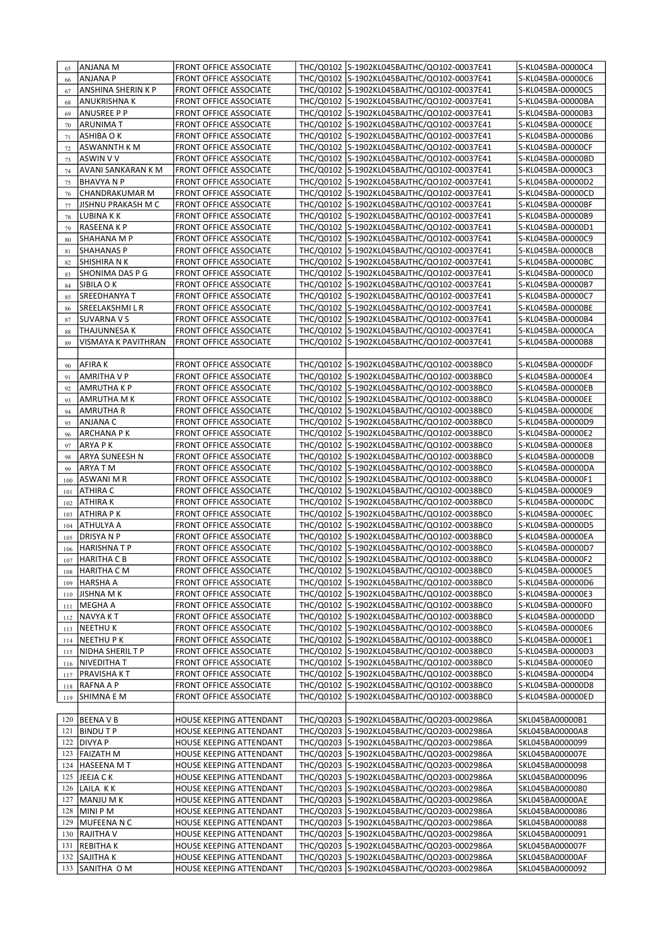| 65  | ANJANA M                  | FRONT OFFICE ASSOCIATE        | THC/Q0102 S-1902KL045BAJTHC/QO102-00037E41 | S-KL045BA-00000C4 |
|-----|---------------------------|-------------------------------|--------------------------------------------|-------------------|
| 66  | <b>ANJANA P</b>           | <b>FRONT OFFICE ASSOCIATE</b> | THC/Q0102 S-1902KL045BAJTHC/QO102-00037E41 | S-KL045BA-00000C6 |
| 67  | ANSHINA SHERIN K P        | FRONT OFFICE ASSOCIATE        | THC/Q0102 S-1902KL045BAJTHC/QO102-00037E41 | S-KL045BA-00000C5 |
| 68  | ANUKRISHNA K              | <b>FRONT OFFICE ASSOCIATE</b> | THC/Q0102 S-1902KL045BAJTHC/QO102-00037E41 | S-KL045BA-00000BA |
|     | <b>ANUSREE P P</b>        | <b>FRONT OFFICE ASSOCIATE</b> | THC/Q0102 S-1902KL045BAJTHC/QO102-00037E41 | S-KL045BA-00000B3 |
| 69  |                           |                               | THC/Q0102 S-1902KL045BAJTHC/QO102-00037E41 |                   |
| 70  | ARUNIMA T                 | FRONT OFFICE ASSOCIATE        |                                            | S-KL045BA-00000CE |
| 71  | ASHIBA O K                | FRONT OFFICE ASSOCIATE        | THC/Q0102 S-1902KL045BAJTHC/QO102-00037E41 | S-KL045BA-00000B6 |
| 72  | ASWANNTH K M              | <b>FRONT OFFICE ASSOCIATE</b> | THC/Q0102 S-1902KL045BAJTHC/QO102-00037E41 | S-KL045BA-00000CF |
| 73  | <b>ASWIN V V</b>          | <b>FRONT OFFICE ASSOCIATE</b> | THC/Q0102 S-1902KL045BAJTHC/QO102-00037E41 | S-KL045BA-00000BD |
| 74  | AVANI SANKARAN K M        | FRONT OFFICE ASSOCIATE        | THC/Q0102 S-1902KL045BAJTHC/QO102-00037E41 | S-KL045BA-00000C3 |
| 75  | <b>BHAVYA N P</b>         | <b>FRONT OFFICE ASSOCIATE</b> | THC/Q0102 S-1902KL045BAJTHC/QO102-00037E41 | S-KL045BA-00000D2 |
| 76  | CHANDRAKUMAR M            | <b>FRONT OFFICE ASSOCIATE</b> | THC/Q0102 S-1902KL045BAJTHC/QO102-00037E41 | S-KL045BA-00000CD |
| 77  | <b>JISHNU PRAKASH M C</b> | FRONT OFFICE ASSOCIATE        | THC/Q0102 S-1902KL045BAJTHC/QO102-00037E41 | S-KL045BA-00000BF |
| 78  | LUBINA K K                | FRONT OFFICE ASSOCIATE        | THC/Q0102 S-1902KL045BAJTHC/QO102-00037E41 | S-KL045BA-00000B9 |
| 79  | RASEENA K P               | <b>FRONT OFFICE ASSOCIATE</b> | THC/Q0102 S-1902KL045BAJTHC/QO102-00037E41 | S-KL045BA-00000D1 |
| 80  | SHAHANA M P               | FRONT OFFICE ASSOCIATE        | THC/Q0102 S-1902KL045BAJTHC/QO102-00037E41 | S-KL045BA-00000C9 |
| 81  | <b>SHAHANAS P</b>         | FRONT OFFICE ASSOCIATE        | THC/Q0102 S-1902KL045BAJTHC/QO102-00037E41 | S-KL045BA-00000CB |
| 82  | SHISHIRA N K              | <b>FRONT OFFICE ASSOCIATE</b> | THC/Q0102 S-1902KL045BAJTHC/QO102-00037E41 | S-KL045BA-00000BC |
|     | SHONIMA DAS P G           | FRONT OFFICE ASSOCIATE        | THC/Q0102 S-1902KL045BAJTHC/QO102-00037E41 | S-KL045BA-00000C0 |
| 83  | SIBILA O K                | FRONT OFFICE ASSOCIATE        | THC/Q0102 S-1902KL045BAJTHC/QO102-00037E41 | S-KL045BA-00000B7 |
| 84  |                           |                               |                                            |                   |
| 85  | SREEDHANYA T              | <b>FRONT OFFICE ASSOCIATE</b> | THC/Q0102 S-1902KL045BAJTHC/QO102-00037E41 | S-KL045BA-00000C7 |
| 86  | SREELAKSHMILR             | <b>FRONT OFFICE ASSOCIATE</b> | THC/Q0102 S-1902KL045BAJTHC/QO102-00037E41 | S-KL045BA-00000BE |
| 87  | SUVARNA V S               | FRONT OFFICE ASSOCIATE        | THC/Q0102 S-1902KL045BAJTHC/QO102-00037E41 | S-KL045BA-00000B4 |
| 88  | <b>THAJUNNESA K</b>       | FRONT OFFICE ASSOCIATE        | THC/Q0102 S-1902KL045BAJTHC/QO102-00037E41 | S-KL045BA-00000CA |
| 89  | VISMAYA K PAVITHRAN       | <b>FRONT OFFICE ASSOCIATE</b> | THC/Q0102 S-1902KL045BAJTHC/QO102-00037E41 | S-KL045BA-00000B8 |
|     |                           |                               |                                            |                   |
| 90  | <b>AFIRAK</b>             | <b>FRONT OFFICE ASSOCIATE</b> | THC/Q0102 S-1902KL045BAJTHC/QO102-00038BC0 | S-KL045BA-00000DF |
| 91  | AMRITHA V P               | <b>FRONT OFFICE ASSOCIATE</b> | THC/Q0102 S-1902KL045BAJTHC/QO102-00038BC0 | S-KL045BA-00000E4 |
| 92  | <b>AMRUTHA K P</b>        | <b>FRONT OFFICE ASSOCIATE</b> | THC/Q0102 S-1902KL045BAJTHC/QO102-00038BC0 | S-KL045BA-00000EB |
| 93  | AMRUTHA M K               | FRONT OFFICE ASSOCIATE        | THC/Q0102 S-1902KL045BAJTHC/QO102-00038BC0 | S-KL045BA-00000EE |
| 94  | AMRUTHA R                 | <b>FRONT OFFICE ASSOCIATE</b> | THC/Q0102 S-1902KL045BAJTHC/QO102-00038BC0 | S-KL045BA-00000DE |
| 95  | ANJANA C                  | <b>FRONT OFFICE ASSOCIATE</b> | THC/Q0102 S-1902KL045BAJTHC/QO102-00038BC0 | S-KL045BA-00000D9 |
| 96  | <b>ARCHANA PK</b>         | FRONT OFFICE ASSOCIATE        | THC/Q0102 S-1902KL045BAJTHC/QO102-00038BC0 | S-KL045BA-00000E2 |
| 97  | ARYA P K                  | <b>FRONT OFFICE ASSOCIATE</b> | THC/Q0102 S-1902KL045BAJTHC/QO102-00038BC0 | S-KL045BA-00000E8 |
|     | ARYA SUNEESH N            | <b>FRONT OFFICE ASSOCIATE</b> | THC/Q0102 S-1902KL045BAJTHC/QO102-00038BC0 | S-KL045BA-00000DB |
| 98  |                           |                               |                                            |                   |
| 99  | ARYA T M                  | <b>FRONT OFFICE ASSOCIATE</b> | THC/Q0102 S-1902KL045BAJTHC/QO102-00038BC0 | S-KL045BA-00000DA |
| 100 | ASWANI M R                | FRONT OFFICE ASSOCIATE        | THC/Q0102 S-1902KL045BAJTHC/QO102-00038BC0 | S-KL045BA-00000F1 |
| 101 | ATHIRA C                  | <b>FRONT OFFICE ASSOCIATE</b> | THC/Q0102 S-1902KL045BAJTHC/QO102-00038BC0 | S-KL045BA-00000E9 |
| 102 | ATHIRA K                  | <b>FRONT OFFICE ASSOCIATE</b> | THC/Q0102 S-1902KL045BAJTHC/QO102-00038BC0 | S-KL045BA-00000DC |
| 103 | ATHIRA P K                | FRONT OFFICE ASSOCIATE        | THC/Q0102 S-1902KL045BAJTHC/QO102-00038BC0 | S-KL045BA-00000EC |
| 104 | ATHULYA A                 | <b>FRONT OFFICE ASSOCIATE</b> | THC/Q0102 S-1902KL045BAJTHC/QO102-00038BC0 | S-KL045BA-00000D5 |
| 105 | <b>DRISYANP</b>           | <b>FRONT OFFICE ASSOCIATE</b> | THC/Q0102 S-1902KL045BAJTHC/QO102-00038BC0 | S-KL045BA-00000EA |
| 106 | <b>HARISHNATP</b>         | <b>FRONT OFFICE ASSOCIATE</b> | THC/Q0102 S-1902KL045BAJTHC/Q0102-00038BC0 | S-KL045BA-00000D7 |
| 107 | HARITHA C B               | <b>FRONT OFFICE ASSOCIATE</b> | THC/Q0102 S-1902KL045BAJTHC/QO102-00038BC0 | S-KL045BA-00000F2 |
| 108 | <b>HARITHA CM</b>         | <b>FRONT OFFICE ASSOCIATE</b> | THC/Q0102 S-1902KL045BAJTHC/Q0102-00038BC0 | S-KL045BA-00000E5 |
| 109 | <b>HARSHA A</b>           | FRONT OFFICE ASSOCIATE        | THC/Q0102 S-1902KL045BAJTHC/QO102-00038BC0 | S-KL045BA-00000D6 |
| 110 | JISHNA M K                | FRONT OFFICE ASSOCIATE        | THC/Q0102 S-1902KL045BAJTHC/QO102-00038BC0 | S-KL045BA-00000E3 |
| 111 | MEGHA A                   | FRONT OFFICE ASSOCIATE        | THC/Q0102 S-1902KL045BAJTHC/QO102-00038BC0 | S-KL045BA-00000F0 |
| 112 | <b>NAVYAKT</b>            | FRONT OFFICE ASSOCIATE        | THC/Q0102 S-1902KL045BAJTHC/QO102-00038BC0 | S-KL045BA-00000DD |
| 113 | <b>NEETHUK</b>            | FRONT OFFICE ASSOCIATE        | THC/Q0102 S-1902KL045BAJTHC/QO102-00038BC0 | S-KL045BA-00000E6 |
| 114 | NEETHU P K                | <b>FRONT OFFICE ASSOCIATE</b> | THC/Q0102 S-1902KL045BAJTHC/QO102-00038BC0 | S-KL045BA-00000E1 |
| 115 | NIDHA SHERIL T P          | FRONT OFFICE ASSOCIATE        | THC/Q0102 S-1902KL045BAJTHC/QO102-00038BC0 | S-KL045BA-00000D3 |
| 116 | <b>NIVEDITHAT</b>         | FRONT OFFICE ASSOCIATE        | THC/Q0102 S-1902KL045BAJTHC/QO102-00038BC0 | S-KL045BA-00000E0 |
| 117 | PRAVISHA KT               | FRONT OFFICE ASSOCIATE        | THC/Q0102 S-1902KL045BAJTHC/QO102-00038BC0 | S-KL045BA-00000D4 |
| 118 | RAFNA A P                 | FRONT OFFICE ASSOCIATE        | THC/Q0102 S-1902KL045BAJTHC/QO102-00038BC0 | S-KL045BA-00000D8 |
| 119 | SHIMNA E M                | FRONT OFFICE ASSOCIATE        | THC/Q0102 S-1902KL045BAJTHC/QO102-00038BC0 | S-KL045BA-00000ED |
|     |                           |                               |                                            |                   |
|     |                           |                               |                                            |                   |
| 120 | <b>BEENAVB</b>            | HOUSE KEEPING ATTENDANT       | THC/Q0203 S-1902KL045BAJTHC/QO203-0002986A | SKL045BA00000B1   |
| 121 | <b>BINDUTP</b>            | HOUSE KEEPING ATTENDANT       | THC/Q0203 S-1902KL045BAJTHC/QO203-0002986A | SKL045BA00000A8   |
| 122 | <b>DIVYA P</b>            | HOUSE KEEPING ATTENDANT       | THC/Q0203 S-1902KL045BAJTHC/QO203-0002986A | SKL045BA0000099   |
| 123 | FAIZATH M                 | HOUSE KEEPING ATTENDANT       | THC/Q0203 S-1902KL045BAJTHC/QO203-0002986A | SKL045BA000007E   |
| 124 | <b>HASEENA MT</b>         | HOUSE KEEPING ATTENDANT       | THC/Q0203 S-1902KL045BAJTHC/QO203-0002986A | SKL045BA0000098   |
| 125 | JEEJA C K                 | HOUSE KEEPING ATTENDANT       | THC/Q0203 S-1902KL045BAJTHC/QO203-0002986A | SKL045BA0000096   |
| 126 | LAILA KK                  | HOUSE KEEPING ATTENDANT       | THC/Q0203 S-1902KL045BAJTHC/QO203-0002986A | SKL045BA0000080   |
| 127 | MANJU M K                 | HOUSE KEEPING ATTENDANT       | THC/Q0203 S-1902KL045BAJTHC/QO203-0002986A | SKL045BA00000AE   |
| 128 | MINI P M                  | HOUSE KEEPING ATTENDANT       | THC/Q0203 S-1902KL045BAJTHC/QO203-0002986A | SKL045BA0000086   |
| 129 | MUFEENA N C               | HOUSE KEEPING ATTENDANT       | THC/Q0203 S-1902KL045BAJTHC/QO203-0002986A | SKL045BA0000088   |
| 130 | <b>RAJITHA V</b>          | HOUSE KEEPING ATTENDANT       | THC/Q0203 S-1902KL045BAJTHC/QO203-0002986A | SKL045BA0000091   |
| 131 | <b>REBITHAK</b>           | HOUSE KEEPING ATTENDANT       | THC/Q0203 S-1902KL045BAJTHC/QO203-0002986A | SKL045BA000007F   |
| 132 | <b>SAJITHAK</b>           | HOUSE KEEPING ATTENDANT       | THC/Q0203 S-1902KL045BAJTHC/QO203-0002986A | SKL045BA00000AF   |
|     | 133 SANITHA OM            | HOUSE KEEPING ATTENDANT       | THC/Q0203 S-1902KL045BAJTHC/QO203-0002986A | SKL045BA0000092   |